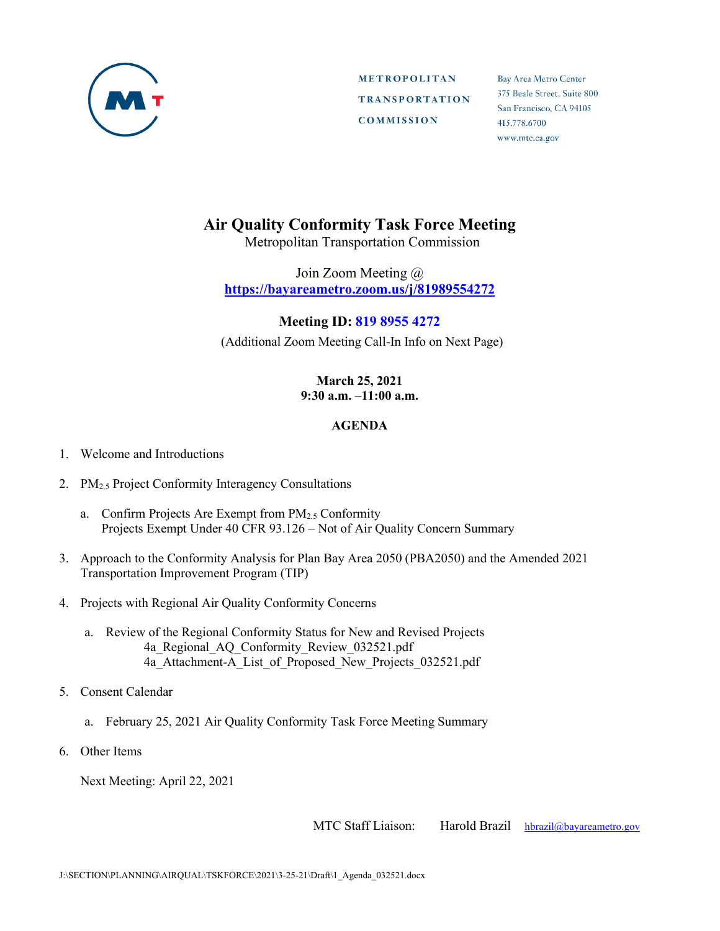

Bay Area Metro Center 375 Beale Street, Suite 800 San Francisco, CA 94105 415.778.6700 www.mtc.ca.gov

# **Air Quality Conformity Task Force Meeting**

Metropolitan Transportation Commission

Join Zoom Meeting @ **https://bayareametro.zoom.us/j/81989554272**

#### **Meeting ID: 819 8955 4272**

(Additional Zoom Meeting Call-In Info on Next Page)

#### **March 25, 2021 9:30 a.m. –11:00 a.m.**

#### **AGENDA**

- 1. Welcome and Introductions
- 2. PM<sub>2.5</sub> Project Conformity Interagency Consultations
	- a. Confirm Projects Are Exempt from PM2.5 Conformity Projects Exempt Under 40 CFR 93.126 – Not of Air Quality Concern Summary
- 3. Approach to the Conformity Analysis for Plan Bay Area 2050 (PBA2050) and the Amended 2021 Transportation Improvement Program (TIP)
- 4. Projects with Regional Air Quality Conformity Concerns
	- a. Review of the Regional Conformity Status for New and Revised Projects 4a Regional AQ Conformity Review 032521.pdf 4a Attachment-A List of Proposed New Projects 032521.pdf
- 5. Consent Calendar
	- a. February 25, 2021 Air Quality Conformity Task Force Meeting Summary
- 6. Other Items

Next Meeting: April 22, 2021

MTC Staff Liaison: Harold Brazil [hbrazil@bayareametro.gov](mailto:hbrazil@bayareametro.gov)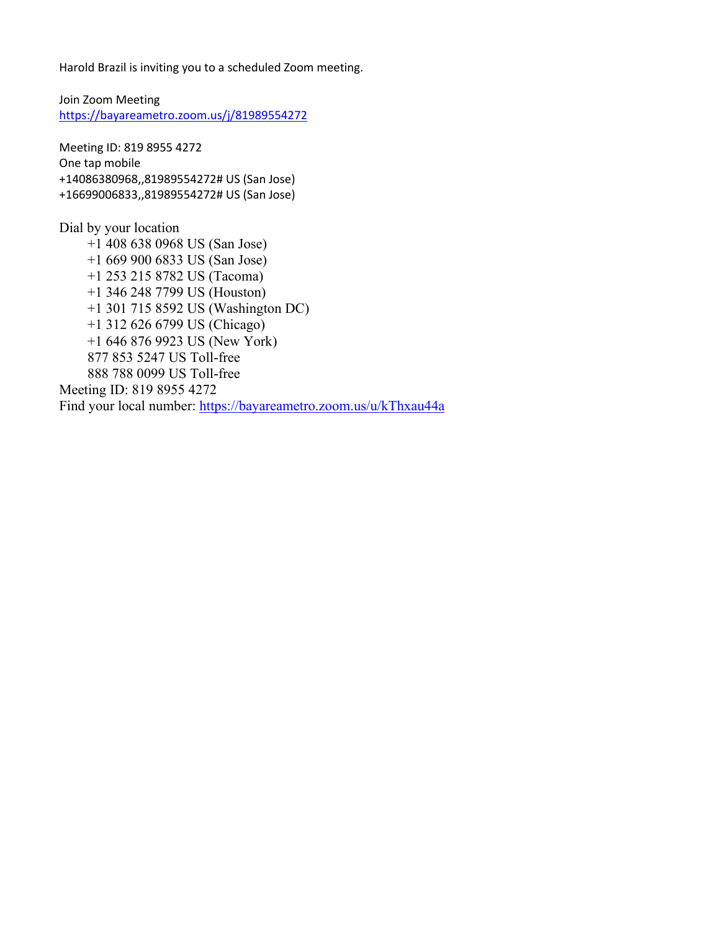Harold Brazil is inviting you to a scheduled Zoom meeting.

Join Zoom Meeting <https://bayareametro.zoom.us/j/81989554272>

Meeting ID: 819 8955 4272 One tap mobile +14086380968,,81989554272# US (San Jose) +16699006833,,81989554272# US (San Jose)

Dial by your location +1 408 638 0968 US (San Jose) +1 669 900 6833 US (San Jose) +1 253 215 8782 US (Tacoma) +1 346 248 7799 US (Houston) +1 301 715 8592 US (Washington DC) +1 312 626 6799 US (Chicago) +1 646 876 9923 US (New York) 877 853 5247 US Toll-free 888 788 0099 US Toll-free Meeting ID: 819 8955 4272 Find your local number:<https://bayareametro.zoom.us/u/kThxau44a>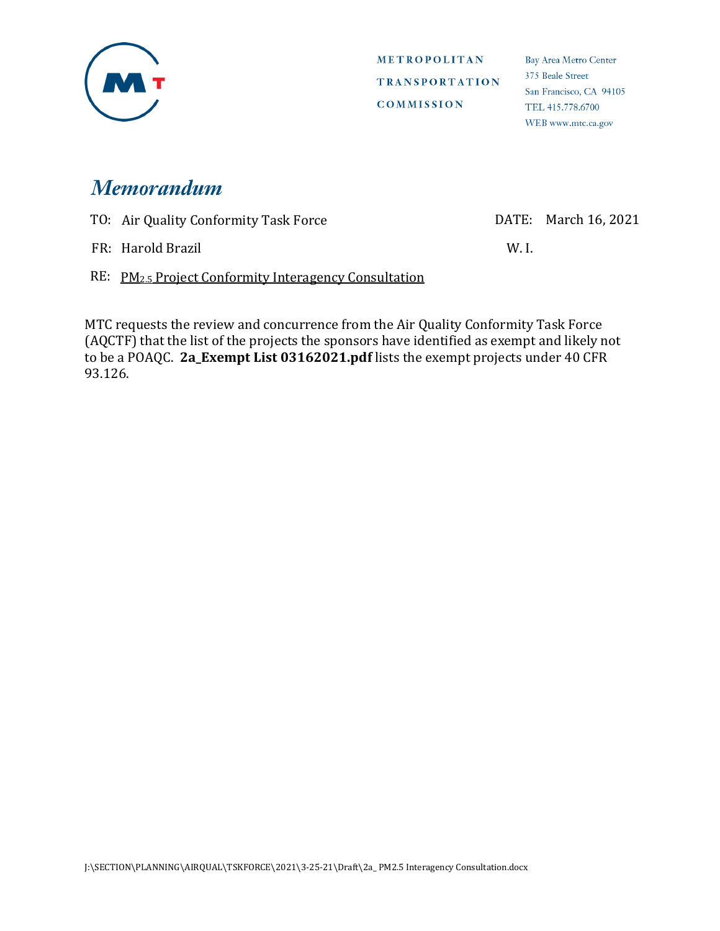

Bay Area Metro Center 375 Beale Street San Francisco, CA 94105 TEL 415.778.6700 WEB www.mtc.ca.gov

# **Memorandum**

TO: Air Quality Conformity Task Force DATE: March 16, 2021

FR: Harold Brazil W. I.

RE: PM<sub>2.5</sub> Project Conformity Interagency Consultation

MTC requests the review and concurrence from the Air Quality Conformity Task Force (AQCTF) that the list of the projects the sponsors have identified as exempt and likely not to be a POAQC. **2a\_Exempt List 03162021.pdf** lists the exempt projects under 40 CFR 93.126.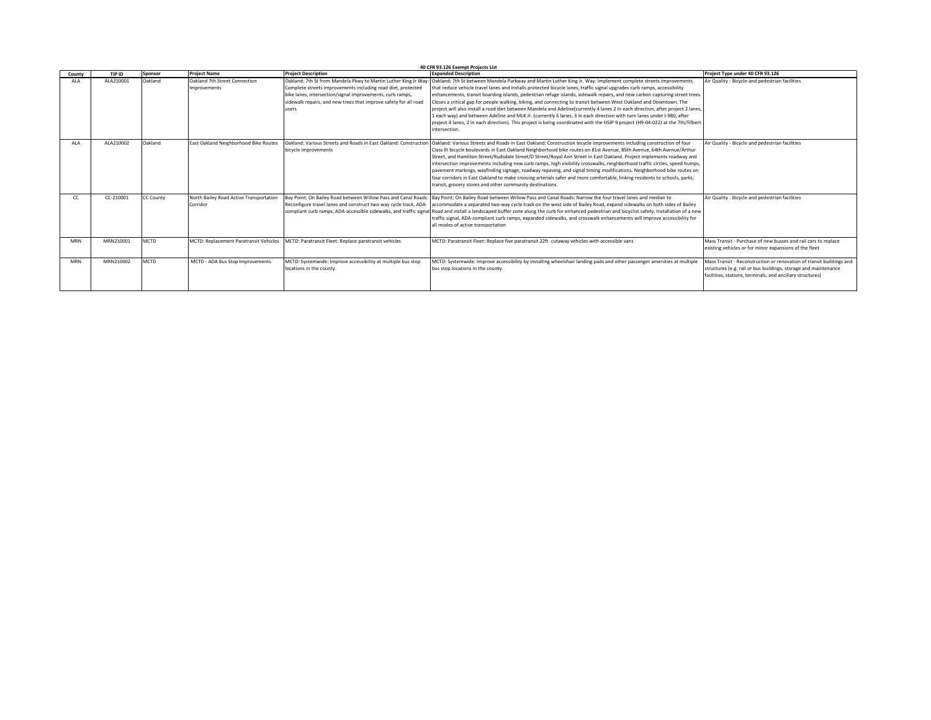|            | 40 CFR 93.126 Exempt Projects List |                  |                                                     |                                                                                                                                                                                                                                                                          |                                                                                                                                                                                                                                                                                                                                                                                                                                                                                                                                                                                                                                                                                                                                                                                                                                                                                                                    |                                                                                                                                                                                                       |  |  |  |
|------------|------------------------------------|------------------|-----------------------------------------------------|--------------------------------------------------------------------------------------------------------------------------------------------------------------------------------------------------------------------------------------------------------------------------|--------------------------------------------------------------------------------------------------------------------------------------------------------------------------------------------------------------------------------------------------------------------------------------------------------------------------------------------------------------------------------------------------------------------------------------------------------------------------------------------------------------------------------------------------------------------------------------------------------------------------------------------------------------------------------------------------------------------------------------------------------------------------------------------------------------------------------------------------------------------------------------------------------------------|-------------------------------------------------------------------------------------------------------------------------------------------------------------------------------------------------------|--|--|--|
| County     | TIP ID                             | Sponsor          | <b>Project Name</b>                                 | <b>Project Description</b>                                                                                                                                                                                                                                               | <b>Expanded Description</b>                                                                                                                                                                                                                                                                                                                                                                                                                                                                                                                                                                                                                                                                                                                                                                                                                                                                                        | Project Type under 40 CFR 93.126                                                                                                                                                                      |  |  |  |
| <b>ALA</b> | ALA210001                          | Oakland          | Oakland 7th Street Connection<br>Improvements       | Oakland: 7th St from Mandela Pkwy to Martin Luther King Jr Way<br>Complete streets improvements including road diet, protected<br>bike lanes, intersection/signal improvements, curb ramps,<br>sidewalk repairs, and new trees that improve safety for all road<br>users | : Oakland: 7th St between Mandela Parkway and Martin Luther King Jr. Way: Implement complete streets improvements<br>that reduce vehicle travel lanes and installs protected bicycle lanes, traffic signal upgrades curb ramps, accessibility<br>enhancements, transit boarding islands, pedestrian refuge islands, sidewalk repairs, and new carbon-capturing street trees<br>Closes a critical gap for people walking, biking, and connecting to transit between West Oakland and Downtown. The<br>project will also install a road diet between Mandela and Adeline currently 4 lanes 2 in each direction, after project 2 lanes.<br>1 each way) and between Adeline and MLK Jr. (currently 6 lanes, 3 in each direction with turn lanes under I-980, after<br>project 4 lanes, 2 in each direction). This project is being coordinated with the HSIP 9 project (H9-04-022) at the 7th/Filbert<br>intersection. | Air Quality - Bicycle and pedestrian facilities                                                                                                                                                       |  |  |  |
| AI A       | ALA210002                          | Oakland          | East Oakland Neighborhood Bike Routes               | Oakland: Various Streets and Roads in East Oakland: Constructio<br>bicycle improvements                                                                                                                                                                                  | Oakland: Various Streets and Roads in East Oakland: Construction bicycle improvements including construction of four<br>Class III bicycle boulevards in East Oakland Neighborhood bike routes on 81st Avenue. 85th Avenue. 64th Avenue/Arthur<br>Street, and Hamilton Street/Rudsdale Street/D Street/Royal Ann Street in East Oakland. Project implements roadway and<br>intersection improvements including new curb ramps, high visibility crosswalks, neighborhood traffic circles, speed humps,<br>pavement markings, wayfinding signage, roadway repaving, and signal timing modifications. Neighborhood bike routes on<br>four corridors in East Oakland to make crossing arterials safer and more comfortable, linking residents to schools, parks,<br>transit, grocery stores and other community destinations.                                                                                           | Air Quality - Bicycle and pedestrian facilities                                                                                                                                                       |  |  |  |
|            | CC-210001                          | <b>CC County</b> | North Bailey Road Active Transportation<br>Corridor | Bay Point: On Bailey Road between Willow Pass and Canal Roads<br>Reconfigure travel lanes and construct two-way cycle track, ADA                                                                                                                                         | Bay Point: On Bailey Road between Willow Pass and Canal Roads: Narrow the four travel lanes and median to<br>accommodate a separated two-way cycle track on the west side of Bailey Road, expand sidewalks on both sides of Bailey<br>compliant curb ramps, ADA-accessible sidewalks, and traffic signal Road and install a landscaped buffer zone along the curb for enhanced pedestrian and bicyclist safety. Installation of a new<br>traffic signal, ADA-compliant curb ramps, expanded sidewalks, and crosswalk enhancements will improve accessibility for<br>all modes of active transportation                                                                                                                                                                                                                                                                                                             | Air Quality - Bicycle and pedestrian facilities                                                                                                                                                       |  |  |  |
| MRN        | MRN210001                          | <b>MCTD</b>      | MCTD: Replacement Paratransit Vehicles              | MCTD: Paratransit Fleet: Replace paratransit vehicles                                                                                                                                                                                                                    | MCTD: Paratransit Fleet: Replace five paratransit 22ft cutaway vehicles with accessible vans                                                                                                                                                                                                                                                                                                                                                                                                                                                                                                                                                                                                                                                                                                                                                                                                                       | Mass Transit - Purchase of new busses and rail cars to replace<br>existing vehicles or for minor expansions of the fleet                                                                              |  |  |  |
| MRN        | MRN210002                          | <b>MCTD</b>      | MCTD - ADA Bus Stop Improvements                    | MCTD: Systemwide: Improve accessibility at multiple bus stop<br>locations in the county.                                                                                                                                                                                 | MCTD: Systemwide: Improve accessibility by installing wheelchair landing pads and other passenger amenities at multiple<br>bus stop locations in the county.                                                                                                                                                                                                                                                                                                                                                                                                                                                                                                                                                                                                                                                                                                                                                       | Mass Transit - Reconstruction or renovation of transit buildings and<br>structures (e.g. rail or bus buildings, storage and maintenance<br>facilities, stations, terminals, and ancillary structures) |  |  |  |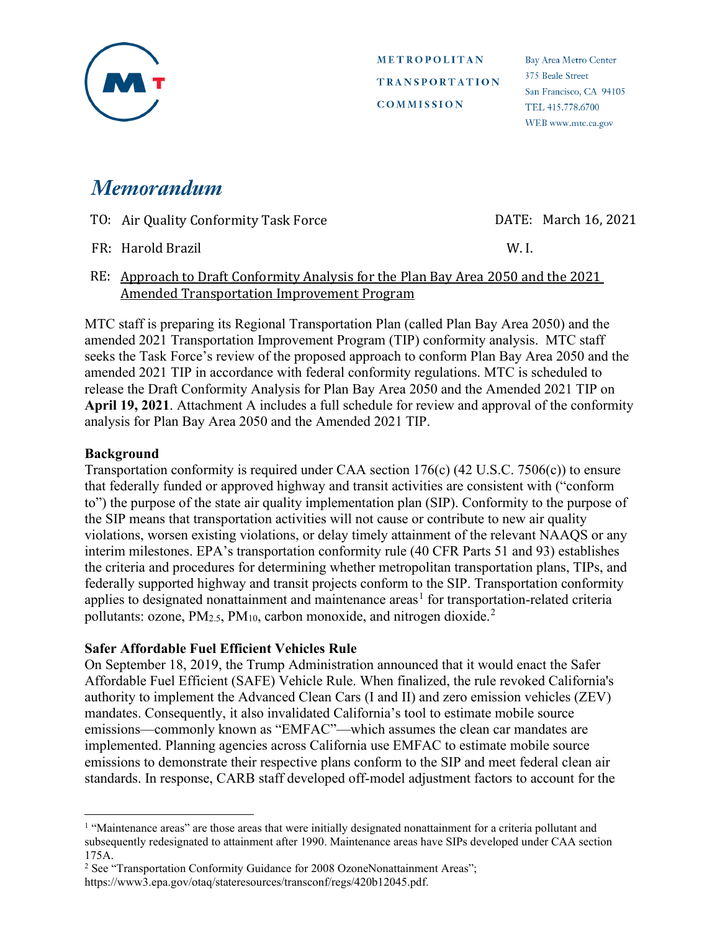

Bay Area Metro Center 375 Beale Street San Francisco, CA 94105 TEL 415,778,6700 WEB www.mtc.ca.gov

# **Memorandum**

| TO: Air Quality Conformity Task Force | DATE: March 16, 2021 |
|---------------------------------------|----------------------|
|                                       |                      |

FR: Harold Brazil W. I.

RE: Approach to Draft Conformity Analysis for the Plan Bay Area 2050 and the 2021 Amended Transportation Improvement Program

MTC staff is preparing its Regional Transportation Plan (called Plan Bay Area 2050) and the amended 2021 Transportation Improvement Program (TIP) conformity analysis. MTC staff seeks the Task Force's review of the proposed approach to conform Plan Bay Area 2050 and the amended 2021 TIP in accordance with federal conformity regulations. MTC is scheduled to release the Draft Conformity Analysis for Plan Bay Area 2050 and the Amended 2021 TIP on **April 19, 2021**. Attachment A includes a full schedule for review and approval of the conformity analysis for Plan Bay Area 2050 and the Amended 2021 TIP.

# **Background**

Transportation conformity is required under CAA section 176(c) (42 U.S.C. 7506(c)) to ensure that federally funded or approved highway and transit activities are consistent with ("conform to") the purpose of the state air quality implementation plan (SIP). Conformity to the purpose of the SIP means that transportation activities will not cause or contribute to new air quality violations, worsen existing violations, or delay timely attainment of the relevant NAAQS or any interim milestones. EPA's transportation conformity rule (40 CFR Parts 51 and 93) establishes the criteria and procedures for determining whether metropolitan transportation plans, TIPs, and federally supported highway and transit projects conform to the SIP. Transportation conformity applies to designated nonattainment and maintenance  $area<sup>1</sup>$  $area<sup>1</sup>$  $area<sup>1</sup>$  for transportation-related criteria pollutants: ozone,  $PM_{2.5}$  $PM_{2.5}$  $PM_{2.5}$ ,  $PM_{10}$ , carbon monoxide, and nitrogen dioxide.<sup>2</sup>

# **Safer Affordable Fuel Efficient Vehicles Rule**

On September 18, 2019, the Trump Administration announced that it would enact the Safer Affordable Fuel Efficient (SAFE) Vehicle Rule. When finalized, the rule revoked California's authority to implement the Advanced Clean Cars (I and II) and zero emission vehicles (ZEV) mandates. Consequently, it also invalidated California's tool to estimate mobile source emissions—commonly known as "EMFAC"—which assumes the clean car mandates are implemented. Planning agencies across California use EMFAC to estimate mobile source emissions to demonstrate their respective plans conform to the SIP and meet federal clean air standards. In response, CARB staff developed off-model adjustment factors to account for the

<span id="page-4-0"></span><sup>&</sup>lt;sup>1</sup> "Maintenance areas" are those areas that were initially designated nonattainment for a criteria pollutant and subsequently redesignated to attainment after 1990. Maintenance areas have SIPs developed under CAA section 175A.

<span id="page-4-1"></span><sup>&</sup>lt;sup>2</sup> See "Transportation Conformity Guidance for 2008 OzoneNonattainment Areas"; https://www3.epa.gov/otaq/stateresources/transconf/regs/420b12045.pdf.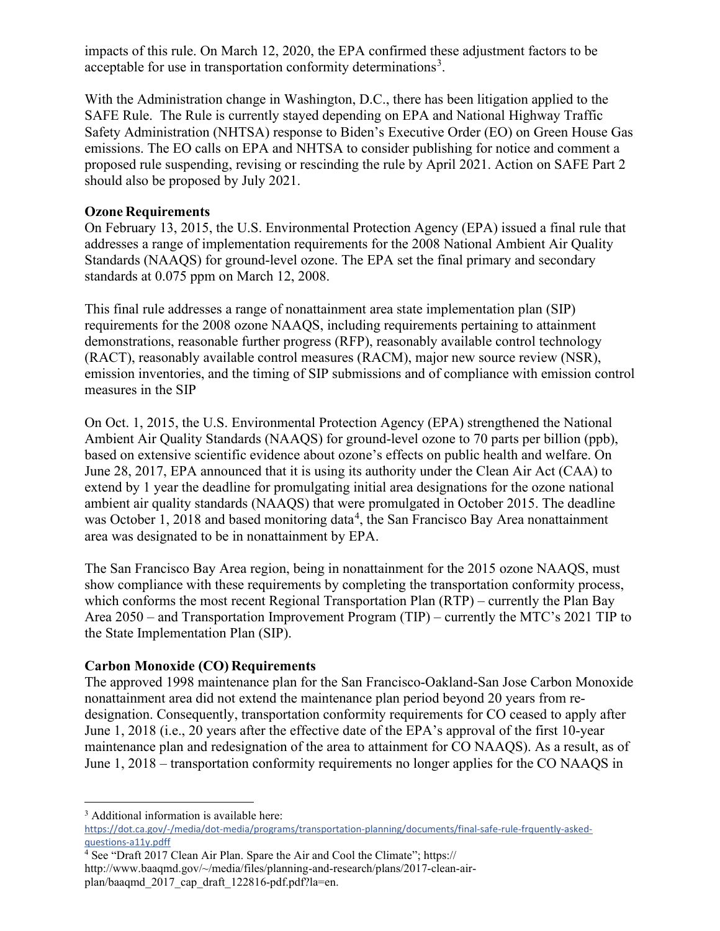impacts of this rule. On March 12, 2020, the EPA confirmed these adjustment factors to be acceptable for use in transportation conformity determinations<sup>[3](#page-5-0)</sup>.

With the Administration change in Washington, D.C., there has been litigation applied to the SAFE Rule. The Rule is currently stayed depending on EPA and National Highway Traffic Safety Administration (NHTSA) response to Biden's Executive Order (EO) on Green House Gas emissions. The EO calls on EPA and NHTSA to consider publishing for notice and comment a proposed rule suspending, revising or rescinding the rule by April 2021. Action on SAFE Part 2 should also be proposed by July 2021.

#### **Ozone Requirements**

On February 13, 2015, the U.S. Environmental Protection Agency (EPA) issued a final rule that addresses a range of implementation requirements for the 2008 National Ambient Air Quality Standards (NAAQS) for ground-level ozone. The EPA set the final primary and secondary standards at 0.075 ppm on March 12, 2008.

This final rule addresses a range of nonattainment area state implementation plan (SIP) requirements for the 2008 ozone NAAQS, including requirements pertaining to attainment demonstrations, reasonable further progress (RFP), reasonably available control technology (RACT), reasonably available control measures (RACM), major new source review (NSR), emission inventories, and the timing of SIP submissions and of compliance with emission control measures in the SIP

On Oct. 1, 2015, the U.S. Environmental Protection Agency (EPA) strengthened the National Ambient Air Quality Standards (NAAQS) for ground-level ozone to 70 parts per billion (ppb), based on extensive scientific evidence about ozone's effects on public health and welfare. On June 28, 2017, EPA announced that it is using its authority under the Clean Air Act (CAA) to extend by 1 year the deadline for promulgating initial area designations for the ozone national ambient air quality standards (NAAQS) that were promulgated in October 2015. The deadline was October 1, 2018 and based monitoring data<sup>[4](#page-5-1)</sup>, the San Francisco Bay Area nonattainment area was designated to be in nonattainment by EPA.

The San Francisco Bay Area region, being in nonattainment for the 2015 ozone NAAQS, must show compliance with these requirements by completing the transportation conformity process, which conforms the most recent Regional Transportation Plan (RTP) – currently the Plan Bay Area 2050 – and Transportation Improvement Program (TIP) – currently the MTC's 2021 TIP to the State Implementation Plan (SIP).

# **Carbon Monoxide (CO) Requirements**

The approved 1998 maintenance plan for the San Francisco-Oakland-San Jose Carbon Monoxide nonattainment area did not extend the maintenance plan period beyond 20 years from redesignation. Consequently, transportation conformity requirements for CO ceased to apply after June 1, 2018 (i.e., 20 years after the effective date of the EPA's approval of the first 10-year maintenance plan and redesignation of the area to attainment for CO NAAQS). As a result, as of June 1, 2018 – transportation conformity requirements no longer applies for the CO NAAQS in

<span id="page-5-0"></span><sup>&</sup>lt;sup>3</sup> Additional information is available here: [https://dot.ca.gov/-/media/dot-media/programs/transportation-planning/documents/final-safe-rule-frquently-asked](https://dot.ca.gov/-/media/dot-media/programs/transportation-planning/documents/final-safe-rule-frquently-asked-questions-a11y.pdff)[questions-a11y.pdff](https://dot.ca.gov/-/media/dot-media/programs/transportation-planning/documents/final-safe-rule-frquently-asked-questions-a11y.pdff)

<span id="page-5-1"></span><sup>4</sup> See "Draft 2017 Clean Air Plan. Spare the Air and Cool the Climate"; https:// http://www.baaqmd.gov/~/media/files/planning-and-research/plans/2017-clean-airplan/baaqmd\_2017\_cap\_draft\_122816-pdf.pdf?la=en.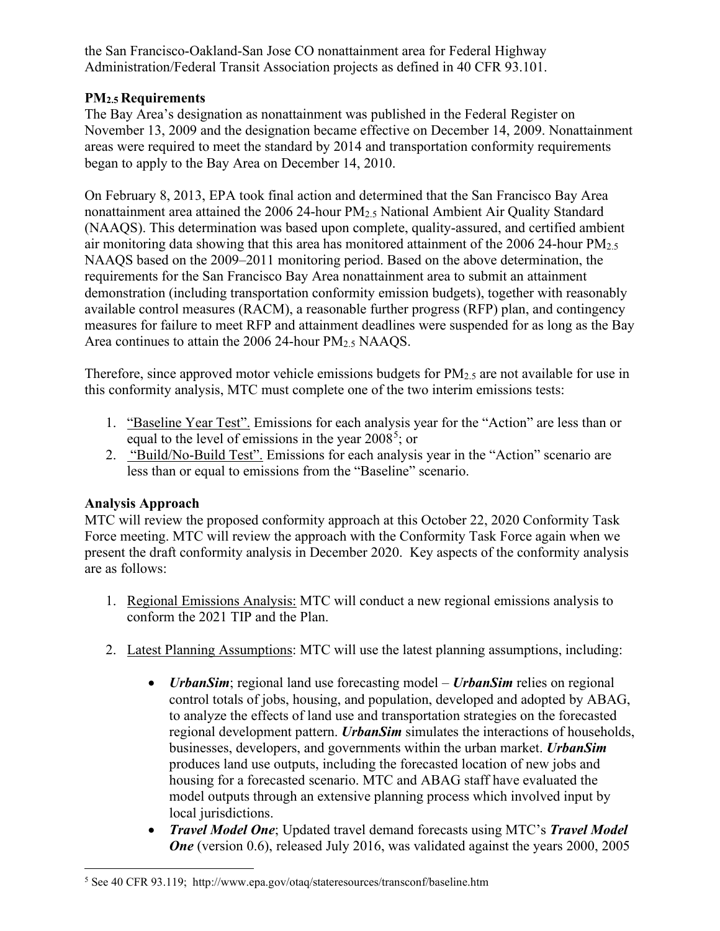the San Francisco-Oakland-San Jose CO nonattainment area for Federal Highway Administration/Federal Transit Association projects as defined in 40 CFR 93.101.

# **PM2.5 Requirements**

The Bay Area's designation as nonattainment was published in the Federal Register on November 13, 2009 and the designation became effective on December 14, 2009. Nonattainment areas were required to meet the standard by 2014 and transportation conformity requirements began to apply to the Bay Area on December 14, 2010.

On February 8, 2013, EPA took final action and determined that the San Francisco Bay Area nonattainment area attained the 2006 24-hour PM2.5 National Ambient Air Quality Standard (NAAQS). This determination was based upon complete, quality-assured, and certified ambient air monitoring data showing that this area has monitored attainment of the 2006 24-hour  $PM_{2.5}$ NAAQS based on the 2009–2011 monitoring period. Based on the above determination, the requirements for the San Francisco Bay Area nonattainment area to submit an attainment demonstration (including transportation conformity emission budgets), together with reasonably available control measures (RACM), a reasonable further progress (RFP) plan, and contingency measures for failure to meet RFP and attainment deadlines were suspended for as long as the Bay Area continues to attain the 2006 24-hour  $PM<sub>2.5</sub> NAAQS$ .

Therefore, since approved motor vehicle emissions budgets for PM<sub>2.5</sub> are not available for use in this conformity analysis, MTC must complete one of the two interim emissions tests:

- 1. "Baseline Year Test". Emissions for each analysis year for the "Action" are less than or equal to the level of emissions in the year  $2008^5$  $2008^5$ ; or
- 2. "Build/No-Build Test". Emissions for each analysis year in the "Action" scenario are less than or equal to emissions from the "Baseline" scenario.

#### **Analysis Approach**

MTC will review the proposed conformity approach at this October 22, 2020 Conformity Task Force meeting. MTC will review the approach with the Conformity Task Force again when we present the draft conformity analysis in December 2020. Key aspects of the conformity analysis are as follows:

- 1. Regional Emissions Analysis: MTC will conduct a new regional emissions analysis to conform the 2021 TIP and the Plan.
- 2. Latest Planning Assumptions: MTC will use the latest planning assumptions, including:
	- *UrbanSim*; regional land use forecasting model *UrbanSim* relies on regional control totals of jobs, housing, and population, developed and adopted by ABAG, to analyze the effects of land use and transportation strategies on the forecasted regional development pattern. *UrbanSim* simulates the interactions of households, businesses, developers, and governments within the urban market. *UrbanSim* produces land use outputs, including the forecasted location of new jobs and housing for a forecasted scenario. MTC and ABAG staff have evaluated the model outputs through an extensive planning process which involved input by local jurisdictions.
	- *Travel Model One*; Updated travel demand forecasts using MTC's *Travel Model One* (version 0.6), released July 2016, was validated against the years 2000, 2005

<span id="page-6-0"></span><sup>5</sup> See 40 CFR 93.119; http://www.epa.gov/otaq/stateresources/transconf/baseline.htm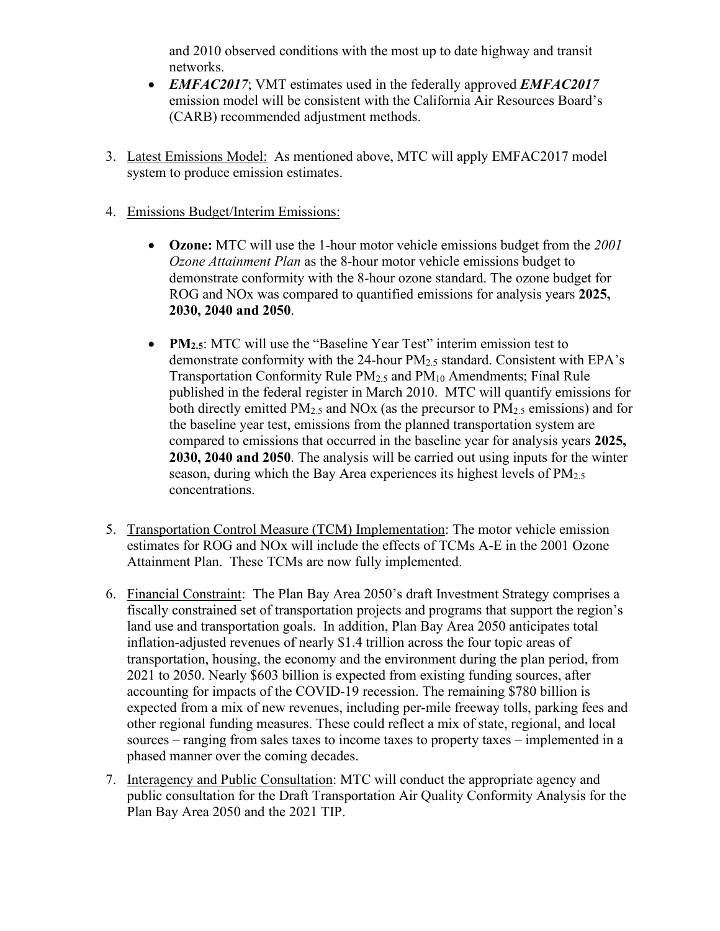and 2010 observed conditions with the most up to date highway and transit networks.

- *EMFAC2017*; VMT estimates used in the federally approved *EMFAC2017* emission model will be consistent with the California Air Resources Board's (CARB) recommended adjustment methods.
- 3. Latest Emissions Model: As mentioned above, MTC will apply EMFAC2017 model system to produce emission estimates.
- 4. Emissions Budget/Interim Emissions:
	- **Ozone:** MTC will use the 1-hour motor vehicle emissions budget from the *2001 Ozone Attainment Plan* as the 8-hour motor vehicle emissions budget to demonstrate conformity with the 8-hour ozone standard. The ozone budget for ROG and NOx was compared to quantified emissions for analysis years **2025, 2030, 2040 and 2050**.
	- **PM2.5:** MTC will use the "Baseline Year Test" interim emission test to demonstrate conformity with the 24-hour PM2.5 standard. Consistent with EPA's Transportation Conformity Rule PM2.5 and PM10 Amendments; Final Rule published in the federal register in March 2010. MTC will quantify emissions for both directly emitted  $PM<sub>2.5</sub>$  and NOx (as the precursor to  $PM<sub>2.5</sub>$  emissions) and for the baseline year test, emissions from the planned transportation system are compared to emissions that occurred in the baseline year for analysis years **2025, 2030, 2040 and 2050**. The analysis will be carried out using inputs for the winter season, during which the Bay Area experiences its highest levels of  $PM_{2.5}$ concentrations.
- 5. Transportation Control Measure (TCM) Implementation: The motor vehicle emission estimates for ROG and NOx will include the effects of TCMs A-E in the 2001 Ozone Attainment Plan. These TCMs are now fully implemented.
- 6. Financial Constraint: The Plan Bay Area 2050's draft Investment Strategy comprises a fiscally constrained set of transportation projects and programs that support the region's land use and transportation goals. In addition, Plan Bay Area 2050 anticipates total inflation-adjusted revenues of nearly \$1.4 trillion across the four topic areas of transportation, housing, the economy and the environment during the plan period, from 2021 to 2050. Nearly \$603 billion is expected from existing funding sources, after accounting for impacts of the COVID-19 recession. The remaining \$780 billion is expected from a mix of new revenues, including per-mile freeway tolls, parking fees and other regional funding measures. These could reflect a mix of state, regional, and local sources – ranging from sales taxes to income taxes to property taxes – implemented in a phased manner over the coming decades.
- 7. Interagency and Public Consultation: MTC will conduct the appropriate agency and public consultation for the Draft Transportation Air Quality Conformity Analysis for the Plan Bay Area 2050 and the 2021 TIP.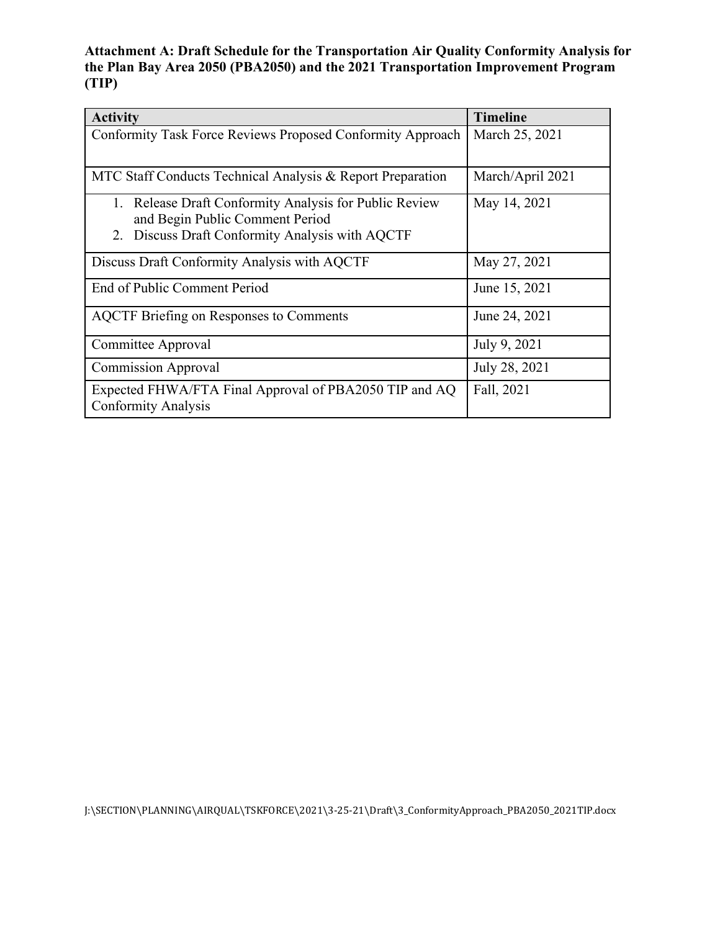**Attachment A: Draft Schedule for the Transportation Air Quality Conformity Analysis for the Plan Bay Area 2050 (PBA2050) and the 2021 Transportation Improvement Program (TIP)** 

| <b>Activity</b>                                                                      | <b>Timeline</b>  |
|--------------------------------------------------------------------------------------|------------------|
| Conformity Task Force Reviews Proposed Conformity Approach                           | March 25, 2021   |
|                                                                                      |                  |
| MTC Staff Conducts Technical Analysis & Report Preparation                           | March/April 2021 |
| 1. Release Draft Conformity Analysis for Public Review                               | May 14, 2021     |
| and Begin Public Comment Period                                                      |                  |
| Discuss Draft Conformity Analysis with AQCTF<br>2.                                   |                  |
| Discuss Draft Conformity Analysis with AQCTF                                         | May 27, 2021     |
| End of Public Comment Period                                                         | June 15, 2021    |
| <b>AQCTF</b> Briefing on Responses to Comments                                       | June 24, 2021    |
| Committee Approval                                                                   | July 9, 2021     |
| <b>Commission Approval</b>                                                           | July 28, 2021    |
| Expected FHWA/FTA Final Approval of PBA2050 TIP and AQ<br><b>Conformity Analysis</b> | Fall, 2021       |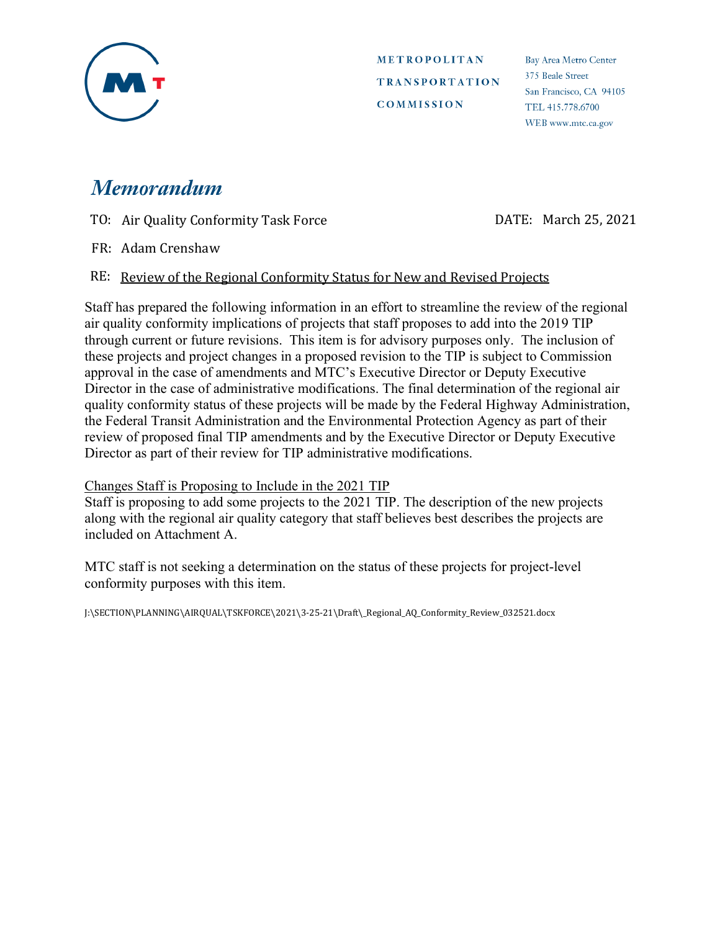

**Bay Area Metro Center** 375 Beale Street San Francisco, CA 94105 TEL 415,778,6700 WEB www.mtc.ca.gov

# **Memorandum**

TO: Air Quality Conformity Task Force DATE: March 25, 2021

FR: Adam Crenshaw

#### RE: Review of the Regional Conformity Status for New and Revised Projects

Staff has prepared the following information in an effort to streamline the review of the regional air quality conformity implications of projects that staff proposes to add into the 2019 TIP through current or future revisions. This item is for advisory purposes only. The inclusion of these projects and project changes in a proposed revision to the TIP is subject to Commission approval in the case of amendments and MTC's Executive Director or Deputy Executive Director in the case of administrative modifications. The final determination of the regional air quality conformity status of these projects will be made by the Federal Highway Administration, the Federal Transit Administration and the Environmental Protection Agency as part of their review of proposed final TIP amendments and by the Executive Director or Deputy Executive Director as part of their review for TIP administrative modifications.

#### Changes Staff is Proposing to Include in the 2021 TIP

Staff is proposing to add some projects to the 2021 TIP. The description of the new projects along with the regional air quality category that staff believes best describes the projects are included on Attachment A.

MTC staff is not seeking a determination on the status of these projects for project-level conformity purposes with this item.

J:\SECTION\PLANNING\AIRQUAL\TSKFORCE\2021\3-25-21\Draft\\_Regional\_AQ\_Conformity\_Review\_032521.docx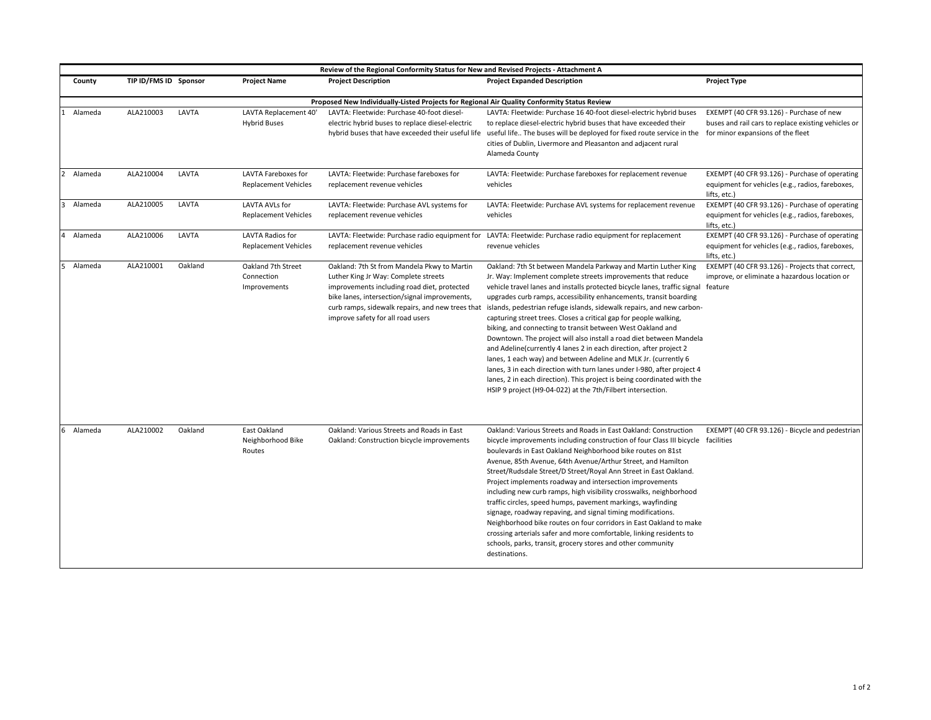| Review of the Regional Conformity Status for New and Revised Projects - Attachment A |                                                                                             |         |                                                    |                                                                                                                                                                                                                                                                              |                                                                                                                                                                                                                                                                                                                                                                                                                                                                                                                                                                                                                                                                                                                                                                                                                                                                                                                                            |                                                                                                                    |  |  |
|--------------------------------------------------------------------------------------|---------------------------------------------------------------------------------------------|---------|----------------------------------------------------|------------------------------------------------------------------------------------------------------------------------------------------------------------------------------------------------------------------------------------------------------------------------------|--------------------------------------------------------------------------------------------------------------------------------------------------------------------------------------------------------------------------------------------------------------------------------------------------------------------------------------------------------------------------------------------------------------------------------------------------------------------------------------------------------------------------------------------------------------------------------------------------------------------------------------------------------------------------------------------------------------------------------------------------------------------------------------------------------------------------------------------------------------------------------------------------------------------------------------------|--------------------------------------------------------------------------------------------------------------------|--|--|
| County                                                                               | TIP ID/FMS ID Sponsor                                                                       |         | <b>Project Name</b>                                | <b>Project Description</b>                                                                                                                                                                                                                                                   | <b>Project Expanded Description</b>                                                                                                                                                                                                                                                                                                                                                                                                                                                                                                                                                                                                                                                                                                                                                                                                                                                                                                        | <b>Project Type</b>                                                                                                |  |  |
|                                                                                      | Proposed New Individually-Listed Projects for Regional Air Quality Conformity Status Review |         |                                                    |                                                                                                                                                                                                                                                                              |                                                                                                                                                                                                                                                                                                                                                                                                                                                                                                                                                                                                                                                                                                                                                                                                                                                                                                                                            |                                                                                                                    |  |  |
| Alameda                                                                              | ALA210003                                                                                   | LAVTA   | LAVTA Replacement 40'<br><b>Hybrid Buses</b>       | LAVTA: Fleetwide: Purchase 40-foot diesel-<br>electric hybrid buses to replace diesel-electric                                                                                                                                                                               | LAVTA: Fleetwide: Purchase 16 40-foot diesel-electric hybrid buses<br>to replace diesel-electric hybrid buses that have exceeded their<br>hybrid buses that have exceeded their useful life useful life The buses will be deployed for fixed route service in the for minor expansions of the fleet<br>cities of Dublin, Livermore and Pleasanton and adjacent rural<br>Alameda County                                                                                                                                                                                                                                                                                                                                                                                                                                                                                                                                                     | EXEMPT (40 CFR 93.126) - Purchase of new<br>buses and rail cars to replace existing vehicles or                    |  |  |
| $\overline{2}$<br>Alameda                                                            | ALA210004                                                                                   | LAVTA   | LAVTA Fareboxes for<br><b>Replacement Vehicles</b> | LAVTA: Fleetwide: Purchase fareboxes for<br>replacement revenue vehicles                                                                                                                                                                                                     | LAVTA: Fleetwide: Purchase fareboxes for replacement revenue<br>vehicles                                                                                                                                                                                                                                                                                                                                                                                                                                                                                                                                                                                                                                                                                                                                                                                                                                                                   | EXEMPT (40 CFR 93.126) - Purchase of operating<br>equipment for vehicles (e.g., radios, fareboxes,<br>lifts, etc.) |  |  |
| Alameda<br>3                                                                         | ALA210005                                                                                   | LAVTA   | LAVTA AVLs for<br><b>Replacement Vehicles</b>      | LAVTA: Fleetwide: Purchase AVL systems for<br>replacement revenue vehicles                                                                                                                                                                                                   | LAVTA: Fleetwide: Purchase AVL systems for replacement revenue<br>vehicles                                                                                                                                                                                                                                                                                                                                                                                                                                                                                                                                                                                                                                                                                                                                                                                                                                                                 | EXEMPT (40 CFR 93.126) - Purchase of operating<br>equipment for vehicles (e.g., radios, fareboxes,<br>lifts, etc.) |  |  |
| Alameda<br>4                                                                         | ALA210006                                                                                   | LAVTA   | LAVTA Radios for<br><b>Replacement Vehicles</b>    | replacement revenue vehicles                                                                                                                                                                                                                                                 | LAVTA: Fleetwide: Purchase radio equipment for LAVTA: Fleetwide: Purchase radio equipment for replacement<br>revenue vehicles                                                                                                                                                                                                                                                                                                                                                                                                                                                                                                                                                                                                                                                                                                                                                                                                              | EXEMPT (40 CFR 93.126) - Purchase of operating<br>equipment for vehicles (e.g., radios, fareboxes,<br>lifts, etc.) |  |  |
| Alameda<br>5                                                                         | ALA210001                                                                                   | Oakland | Oakland 7th Street<br>Connection<br>Improvements   | Oakland: 7th St from Mandela Pkwy to Martin<br>Luther King Jr Way: Complete streets<br>improvements including road diet, protected<br>bike lanes, intersection/signal improvements,<br>curb ramps, sidewalk repairs, and new trees that<br>improve safety for all road users | Oakland: 7th St between Mandela Parkway and Martin Luther King<br>Jr. Way: Implement complete streets improvements that reduce<br>vehicle travel lanes and installs protected bicycle lanes, traffic signal feature<br>upgrades curb ramps, accessibility enhancements, transit boarding<br>islands, pedestrian refuge islands, sidewalk repairs, and new carbon-<br>capturing street trees. Closes a critical gap for people walking,<br>biking, and connecting to transit between West Oakland and<br>Downtown. The project will also install a road diet between Mandela<br>and Adeline (currently 4 lanes 2 in each direction, after project 2<br>lanes, 1 each way) and between Adeline and MLK Jr. (currently 6<br>lanes, 3 in each direction with turn lanes under I-980, after project 4<br>lanes, 2 in each direction). This project is being coordinated with the<br>HSIP 9 project (H9-04-022) at the 7th/Filbert intersection. | EXEMPT (40 CFR 93.126) - Projects that correct,<br>improve, or eliminate a hazardous location or                   |  |  |
| Alameda<br>6                                                                         | ALA210002                                                                                   | Oakland | East Oakland<br>Neighborhood Bike<br>Routes        | Oakland: Various Streets and Roads in East<br>Oakland: Construction bicycle improvements                                                                                                                                                                                     | Oakland: Various Streets and Roads in East Oakland: Construction<br>bicycle improvements including construction of four Class III bicycle facilities<br>boulevards in East Oakland Neighborhood bike routes on 81st<br>Avenue, 85th Avenue, 64th Avenue/Arthur Street, and Hamilton<br>Street/Rudsdale Street/D Street/Royal Ann Street in East Oakland.<br>Project implements roadway and intersection improvements<br>including new curb ramps, high visibility crosswalks, neighborhood<br>traffic circles, speed humps, pavement markings, wayfinding<br>signage, roadway repaving, and signal timing modifications.<br>Neighborhood bike routes on four corridors in East Oakland to make<br>crossing arterials safer and more comfortable, linking residents to<br>schools, parks, transit, grocery stores and other community<br>destinations.                                                                                      | EXEMPT (40 CFR 93.126) - Bicycle and pedestrian                                                                    |  |  |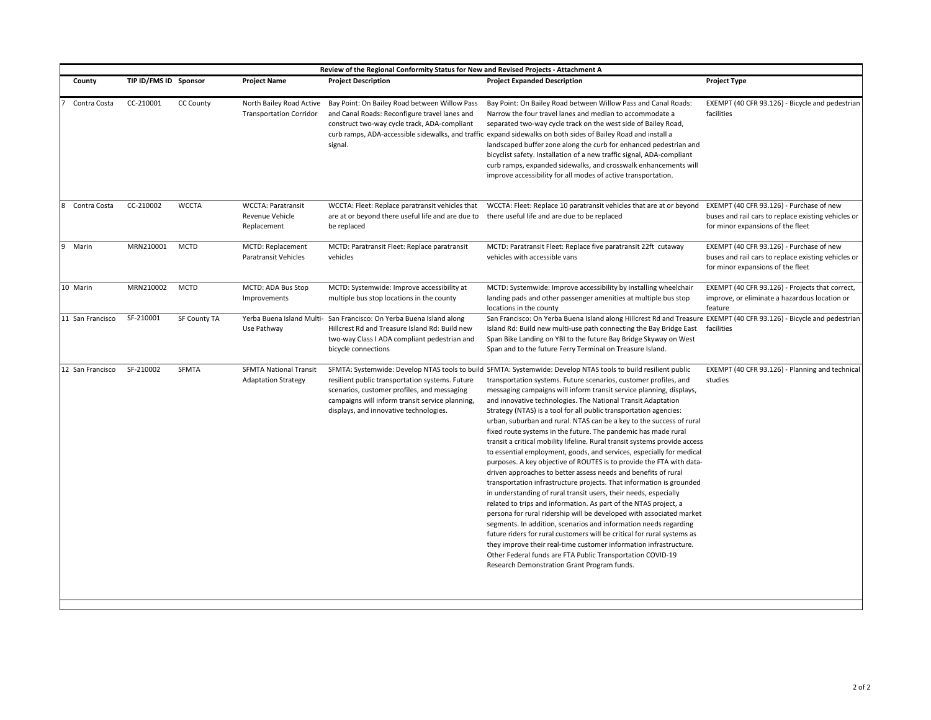| Review of the Regional Conformity Status for New and Revised Projects - Attachment A |                       |                  |                                                             |                                                                                                                                                                                               |                                                                                                                                                                                                                                                                                                                                                                                                                                                                                                                                                                                                                                                                                                                                                                                                                                                                                                                                                                                                                                                                                                                                                                                                                                                                                                                                                                                                                                                                   |                                                                                                                                      |
|--------------------------------------------------------------------------------------|-----------------------|------------------|-------------------------------------------------------------|-----------------------------------------------------------------------------------------------------------------------------------------------------------------------------------------------|-------------------------------------------------------------------------------------------------------------------------------------------------------------------------------------------------------------------------------------------------------------------------------------------------------------------------------------------------------------------------------------------------------------------------------------------------------------------------------------------------------------------------------------------------------------------------------------------------------------------------------------------------------------------------------------------------------------------------------------------------------------------------------------------------------------------------------------------------------------------------------------------------------------------------------------------------------------------------------------------------------------------------------------------------------------------------------------------------------------------------------------------------------------------------------------------------------------------------------------------------------------------------------------------------------------------------------------------------------------------------------------------------------------------------------------------------------------------|--------------------------------------------------------------------------------------------------------------------------------------|
| County                                                                               | TIP ID/FMS ID Sponsor |                  | <b>Project Name</b>                                         | <b>Project Description</b>                                                                                                                                                                    | <b>Project Expanded Description</b>                                                                                                                                                                                                                                                                                                                                                                                                                                                                                                                                                                                                                                                                                                                                                                                                                                                                                                                                                                                                                                                                                                                                                                                                                                                                                                                                                                                                                               | <b>Project Type</b>                                                                                                                  |
| Contra Costa                                                                         | CC-210001             | <b>CC County</b> | North Bailey Road Active<br><b>Transportation Corridor</b>  | Bay Point: On Bailey Road between Willow Pass<br>and Canal Roads: Reconfigure travel lanes and<br>construct two-way cycle track, ADA-compliant<br>signal.                                     | Bay Point: On Bailey Road between Willow Pass and Canal Roads:<br>Narrow the four travel lanes and median to accommodate a<br>separated two-way cycle track on the west side of Bailey Road,<br>curb ramps, ADA-accessible sidewalks, and traffic expand sidewalks on both sides of Bailey Road and install a<br>landscaped buffer zone along the curb for enhanced pedestrian and<br>bicyclist safety. Installation of a new traffic signal, ADA-compliant<br>curb ramps, expanded sidewalks, and crosswalk enhancements will<br>improve accessibility for all modes of active transportation.                                                                                                                                                                                                                                                                                                                                                                                                                                                                                                                                                                                                                                                                                                                                                                                                                                                                   | EXEMPT (40 CFR 93.126) - Bicycle and pedestrian<br>facilities                                                                        |
| Contra Costa                                                                         | CC-210002             | <b>WCCTA</b>     | <b>WCCTA: Paratransit</b><br>Revenue Vehicle<br>Replacement | WCCTA: Fleet: Replace paratransit vehicles that<br>are at or beyond there useful life and are due to there useful life and are due to be replaced<br>be replaced                              | WCCTA: Fleet: Replace 10 paratransit vehicles that are at or beyond                                                                                                                                                                                                                                                                                                                                                                                                                                                                                                                                                                                                                                                                                                                                                                                                                                                                                                                                                                                                                                                                                                                                                                                                                                                                                                                                                                                               | EXEMPT (40 CFR 93.126) - Purchase of new<br>buses and rail cars to replace existing vehicles or<br>for minor expansions of the fleet |
| Marin<br>9                                                                           | MRN210001             | <b>MCTD</b>      | MCTD: Replacement<br>Paratransit Vehicles                   | MCTD: Paratransit Fleet: Replace paratransit<br>vehicles                                                                                                                                      | MCTD: Paratransit Fleet: Replace five paratransit 22ft cutaway<br>vehicles with accessible vans                                                                                                                                                                                                                                                                                                                                                                                                                                                                                                                                                                                                                                                                                                                                                                                                                                                                                                                                                                                                                                                                                                                                                                                                                                                                                                                                                                   | EXEMPT (40 CFR 93.126) - Purchase of new<br>buses and rail cars to replace existing vehicles or<br>for minor expansions of the fleet |
| 10 Marin                                                                             | MRN210002             | <b>MCTD</b>      | MCTD: ADA Bus Stop<br>Improvements                          | MCTD: Systemwide: Improve accessibility at<br>multiple bus stop locations in the county                                                                                                       | MCTD: Systemwide: Improve accessibility by installing wheelchair<br>landing pads and other passenger amenities at multiple bus stop<br>locations in the county                                                                                                                                                                                                                                                                                                                                                                                                                                                                                                                                                                                                                                                                                                                                                                                                                                                                                                                                                                                                                                                                                                                                                                                                                                                                                                    | EXEMPT (40 CFR 93.126) - Projects that correct,<br>improve, or eliminate a hazardous location or<br>feature                          |
| 11 San Francisco                                                                     | SF-210001             | SF County TA     | Use Pathway                                                 | Yerba Buena Island Multi- San Francisco: On Yerba Buena Island along<br>Hillcrest Rd and Treasure Island Rd: Build new<br>two-way Class I ADA compliant pedestrian and<br>bicycle connections | San Francisco: On Yerba Buena Island along Hillcrest Rd and Treasure EXEMPT (40 CFR 93.126) - Bicycle and pedestrian<br>Island Rd: Build new multi-use path connecting the Bay Bridge East<br>Span Bike Landing on YBI to the future Bay Bridge Skyway on West<br>Span and to the future Ferry Terminal on Treasure Island.                                                                                                                                                                                                                                                                                                                                                                                                                                                                                                                                                                                                                                                                                                                                                                                                                                                                                                                                                                                                                                                                                                                                       | facilities                                                                                                                           |
| 12 San Francisco                                                                     | SF-210002             | SFMTA            | <b>SFMTA National Transit</b><br><b>Adaptation Strategy</b> | resilient public transportation systems. Future<br>scenarios, customer profiles, and messaging<br>campaigns will inform transit service planning,<br>displays, and innovative technologies.   | SFMTA: Systemwide: Develop NTAS tools to build SFMTA: Systemwide: Develop NTAS tools to build resilient public<br>transportation systems. Future scenarios, customer profiles, and<br>messaging campaigns will inform transit service planning, displays,<br>and innovative technologies. The National Transit Adaptation<br>Strategy (NTAS) is a tool for all public transportation agencies:<br>urban, suburban and rural. NTAS can be a key to the success of rural<br>fixed route systems in the future. The pandemic has made rural<br>transit a critical mobility lifeline. Rural transit systems provide access<br>to essential employment, goods, and services, especially for medical<br>purposes. A key objective of ROUTES is to provide the FTA with data-<br>driven approaches to better assess needs and benefits of rural<br>transportation infrastructure projects. That information is grounded<br>in understanding of rural transit users, their needs, especially<br>related to trips and information. As part of the NTAS project, a<br>persona for rural ridership will be developed with associated market<br>segments. In addition, scenarios and information needs regarding<br>future riders for rural customers will be critical for rural systems as<br>they improve their real-time customer information infrastructure.<br>Other Federal funds are FTA Public Transportation COVID-19<br>Research Demonstration Grant Program funds. | EXEMPT (40 CFR 93.126) - Planning and technical<br>studies                                                                           |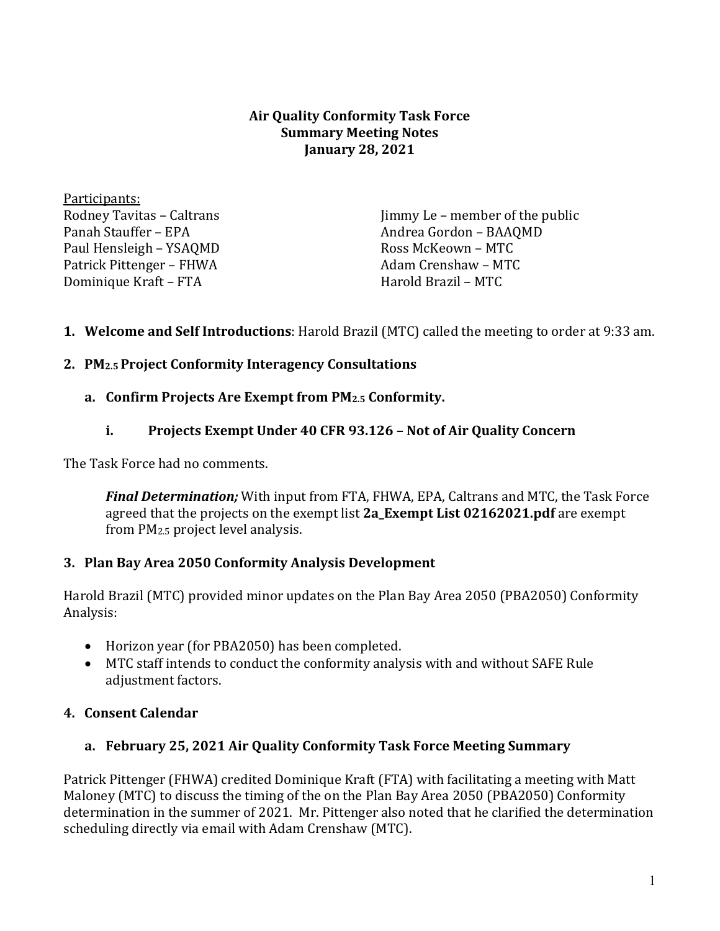#### **Air Quality Conformity Task Force Summary Meeting Notes January 28, 2021**

Participants: Rodney Tavitas – Caltrans Panah Stauffer – EPA Paul Hensleigh – YSAQMD Patrick Pittenger – FHWA Dominique Kraft – FTA

Jimmy Le – member of the public Andrea Gordon – BAAQMD Ross McKeown – MTC Adam Crenshaw – MTC Harold Brazil – MTC

# **1. Welcome and Self Introductions**: Harold Brazil (MTC) called the meeting to order at 9:33 am.

## **2. PM2.5 Project Conformity Interagency Consultations**

## **a. Confirm Projects Are Exempt from PM2.5 Conformity.**

## **i. Projects Exempt Under 40 CFR 93.126 – Not of Air Quality Concern**

The Task Force had no comments.

*Final Determination;* With input from FTA, FHWA, EPA, Caltrans and MTC, the Task Force agreed that the projects on the exempt list **2a\_Exempt List 02162021.pdf** are exempt from PM2.5 project level analysis.

# **3. Plan Bay Area 2050 Conformity Analysis Development**

Harold Brazil (MTC) provided minor updates on the Plan Bay Area 2050 (PBA2050) Conformity Analysis:

- Horizon year (for PBA2050) has been completed.
- MTC staff intends to conduct the conformity analysis with and without SAFE Rule adjustment factors.

# **4. Consent Calendar**

# **a. February 25, 2021 Air Quality Conformity Task Force Meeting Summary**

Patrick Pittenger (FHWA) credited Dominique Kraft (FTA) with facilitating a meeting with Matt Maloney (MTC) to discuss the timing of the on the Plan Bay Area 2050 (PBA2050) Conformity determination in the summer of 2021. Mr. Pittenger also noted that he clarified the determination scheduling directly via email with Adam Crenshaw (MTC).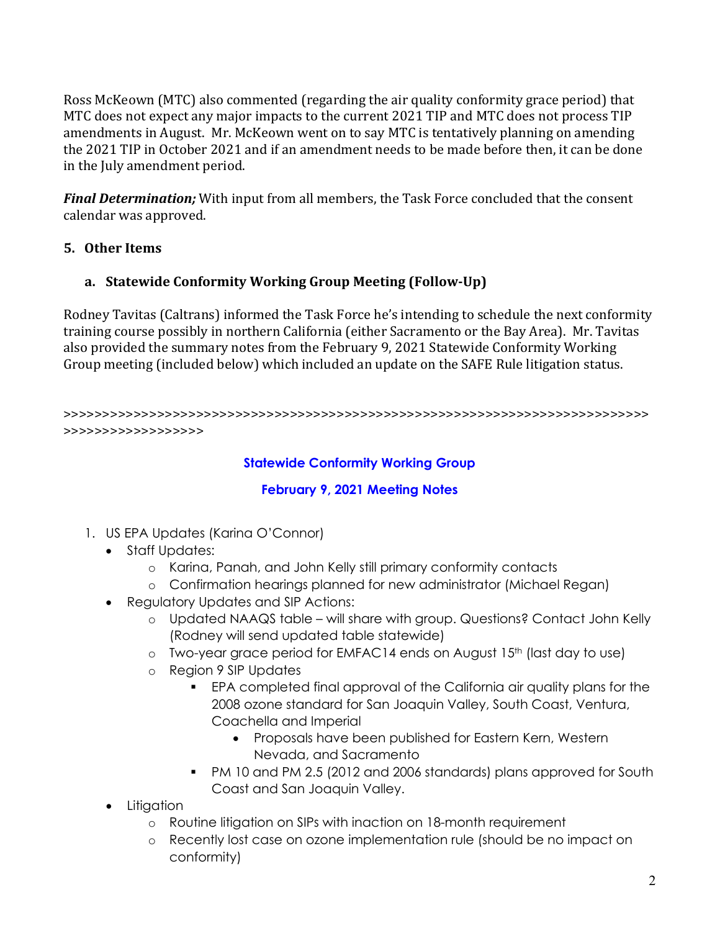Ross McKeown (MTC) also commented (regarding the air quality conformity grace period) that MTC does not expect any major impacts to the current 2021 TIP and MTC does not process TIP amendments in August. Mr. McKeown went on to say MTC is tentatively planning on amending the 2021 TIP in October 2021 and if an amendment needs to be made before then, it can be done in the July amendment period.

*Final Determination;* With input from all members, the Task Force concluded that the consent calendar was approved.

# **5. Other Items**

# **a. Statewide Conformity Working Group Meeting (Follow-Up)**

Rodney Tavitas (Caltrans) informed the Task Force he's intending to schedule the next conformity training course possibly in northern California (either Sacramento or the Bay Area). Mr. Tavitas also provided the summary notes from the February 9, 2021 Statewide Conformity Working Group meeting (included below) which included an update on the SAFE Rule litigation status.

>>>>>>>>>>>>>>>>>>>>>>>>>>>>>>>>>>>>>>>>>>>>>>>>>>>>>>>>>>>>>>>>>>>>>>>>>>> >>>>>>>>>>>>>>>>>>

## **Statewide Conformity Working Group**

# **February 9, 2021 Meeting Notes**

- 1. US EPA Updates (Karina O'Connor)
	- Staff Updates:
		- o Karina, Panah, and John Kelly still primary conformity contacts
		- o Confirmation hearings planned for new administrator (Michael Regan)
	- Regulatory Updates and SIP Actions:
		- o Updated NAAQS table will share with group. Questions? Contact John Kelly (Rodney will send updated table statewide)
		- o Two-year grace period for EMFAC14 ends on August 15<sup>th</sup> (last day to use)
		- o Region 9 SIP Updates
			- EPA completed final approval of the California air quality plans for the 2008 ozone standard for San Joaquin Valley, South Coast, Ventura, Coachella and Imperial
				- Proposals have been published for Eastern Kern, Western Nevada, and Sacramento
			- PM 10 and PM 2.5 (2012 and 2006 standards) plans approved for South Coast and San Joaquin Valley.
	- Litigation
		- o Routine litigation on SIPs with inaction on 18-month requirement
		- o Recently lost case on ozone implementation rule (should be no impact on conformity)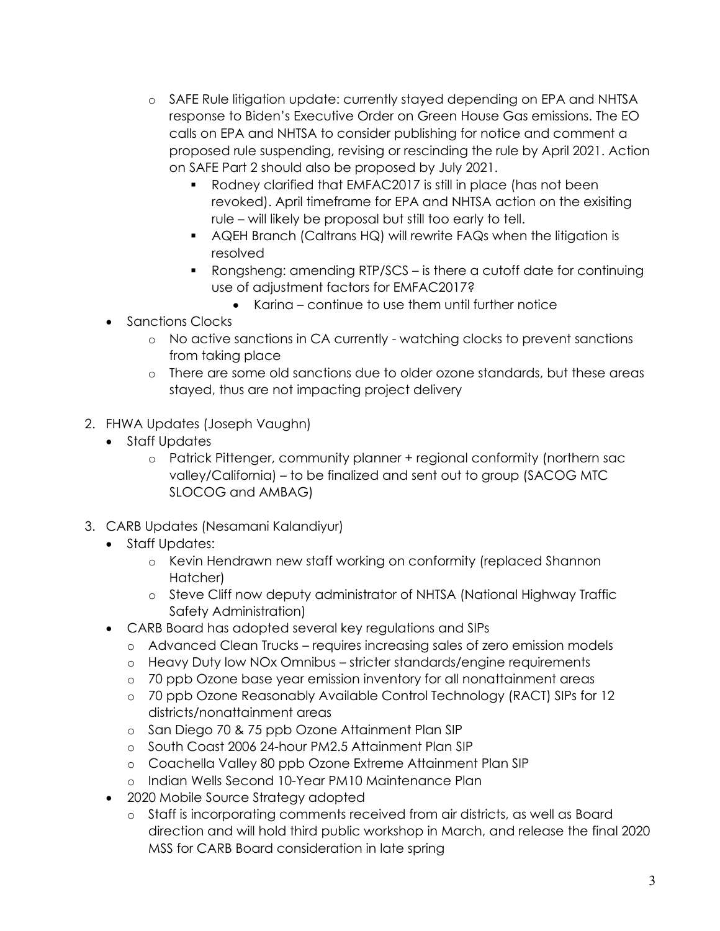- o SAFE Rule litigation update: currently stayed depending on EPA and NHTSA response to Biden's Executive Order on Green House Gas emissions. The EO calls on EPA and NHTSA to consider publishing for notice and comment a proposed rule suspending, revising or rescinding the rule by April 2021. Action on SAFE Part 2 should also be proposed by July 2021.
	- Rodney clarified that EMFAC2017 is still in place (has not been revoked). April timeframe for EPA and NHTSA action on the exisiting rule – will likely be proposal but still too early to tell.
	- AQEH Branch (Caltrans HQ) will rewrite FAQs when the litigation is resolved
	- Rongsheng: amending RTP/SCS is there a cutoff date for continuing use of adjustment factors for EMFAC2017?
		- Karina continue to use them until further notice
- Sanctions Clocks
	- o No active sanctions in CA currently watching clocks to prevent sanctions from taking place
	- o There are some old sanctions due to older ozone standards, but these areas stayed, thus are not impacting project delivery
- 2. FHWA Updates (Joseph Vaughn)
	- Staff Updates
		- o Patrick Pittenger, community planner + regional conformity (northern sac valley/California) – to be finalized and sent out to group (SACOG MTC SLOCOG and AMBAG)
- 3. CARB Updates (Nesamani Kalandiyur)
	- Staff Updates:
		- o Kevin Hendrawn new staff working on conformity (replaced Shannon Hatcher)
		- o Steve Cliff now deputy administrator of NHTSA (National Highway Traffic Safety Administration)
	- CARB Board has adopted several key regulations and SIPs
		- o Advanced Clean Trucks requires increasing sales of zero emission models
		- o Heavy Duty low NOx Omnibus stricter standards/engine requirements
		- o 70 ppb Ozone base year emission inventory for all nonattainment areas
		- o 70 ppb Ozone Reasonably Available Control Technology (RACT) SIPs for 12 districts/nonattainment areas
		- o San Diego 70 & 75 ppb Ozone Attainment Plan SIP
		- o South Coast 2006 24-hour PM2.5 Attainment Plan SIP
		- o Coachella Valley 80 ppb Ozone Extreme Attainment Plan SIP
		- o Indian Wells Second 10-Year PM10 Maintenance Plan
	- 2020 Mobile Source Strategy adopted
		- o Staff is incorporating comments received from air districts, as well as Board direction and will hold third public workshop in March, and release the final 2020 MSS for CARB Board consideration in late spring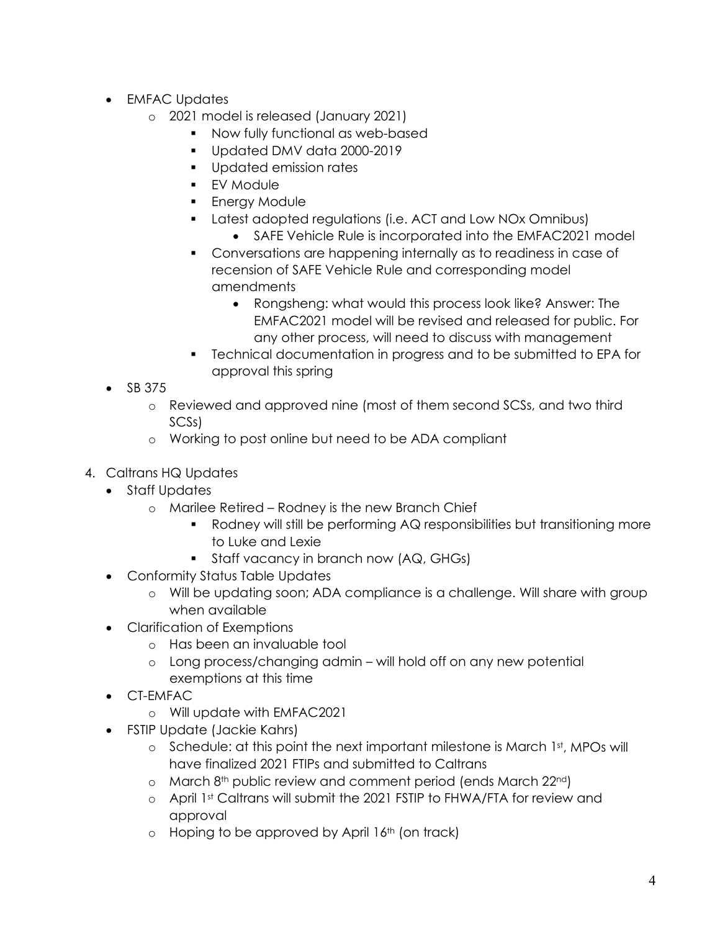- EMFAC Updates
	- o 2021 model is released (January 2021)
		- Now fully functional as web-based
		- Updated DMV data 2000-2019
		- **Updated emission rates**
		- **EV** Module
		- Energy Module
		- Latest adopted regulations (i.e. ACT and Low NOx Omnibus)
			- SAFE Vehicle Rule is incorporated into the EMFAC2021 model
		- Conversations are happening internally as to readiness in case of recension of SAFE Vehicle Rule and corresponding model amendments
			- Rongsheng: what would this process look like? Answer: The EMFAC2021 model will be revised and released for public. For any other process, will need to discuss with management
		- Technical documentation in progress and to be submitted to EPA for approval this spring
- SB 375
	- o Reviewed and approved nine (most of them second SCSs, and two third SCSs)
	- o Working to post online but need to be ADA compliant
- 4. Caltrans HQ Updates
	- Staff Updates
		- o Marilee Retired Rodney is the new Branch Chief
			- Rodney will still be performing AQ responsibilities but transitioning more to Luke and Lexie
			- Staff vacancy in branch now (AQ, GHGs)
	- Conformity Status Table Updates
		- o Will be updating soon; ADA compliance is a challenge. Will share with group when available
	- Clarification of Exemptions
		- o Has been an invaluable tool
		- o Long process/changing admin will hold off on any new potential exemptions at this time
	- CT-EMFAC
		- o Will update with EMFAC2021
	- FSTIP Update (Jackie Kahrs)
		- $\circ$  Schedule: at this point the next important milestone is March 1st, MPOs will have finalized 2021 FTIPs and submitted to Caltrans
		- $\circ$  March 8<sup>th</sup> public review and comment period (ends March 22<sup>nd</sup>)
		- o April 1st Caltrans will submit the 2021 FSTIP to FHWA/FTA for review and approval
		- $\circ$  Hoping to be approved by April 16<sup>th</sup> (on track)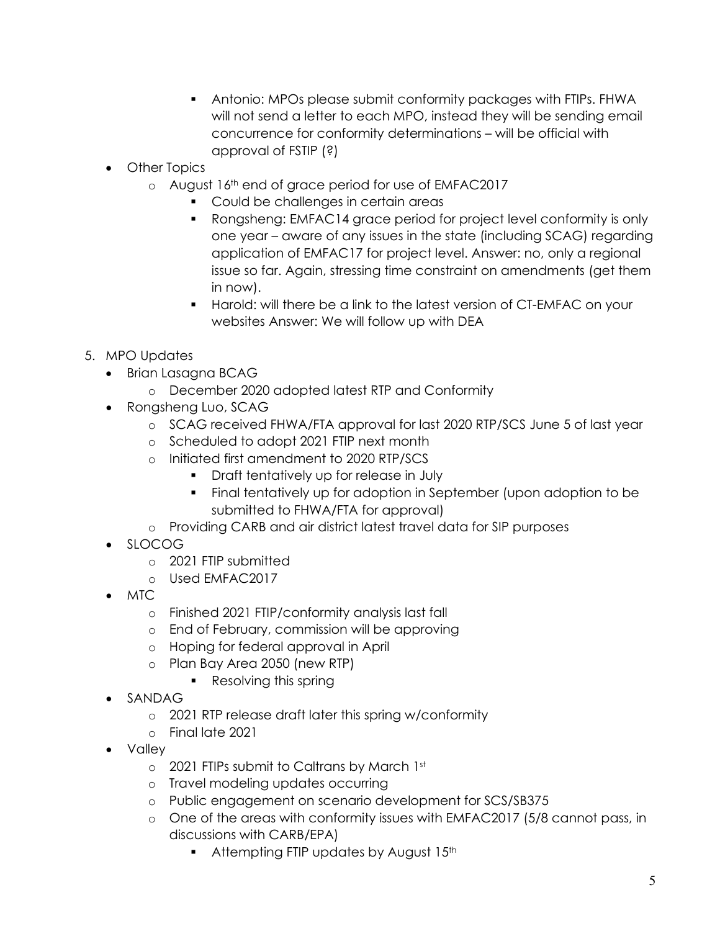- Antonio: MPOs please submit conformity packages with FTIPs. FHWA will not send a letter to each MPO, instead they will be sending email concurrence for conformity determinations – will be official with approval of FSTIP (?)
- Other Topics
	- o August 16th end of grace period for use of EMFAC2017
		- **Could be challenges in certain areas**
		- Rongsheng: EMFAC14 grace period for project level conformity is only one year – aware of any issues in the state (including SCAG) regarding application of EMFAC17 for project level. Answer: no, only a regional issue so far. Again, stressing time constraint on amendments (get them in now).
		- Harold: will there be a link to the latest version of CT-EMFAC on your websites Answer: We will follow up with DEA
- 5. MPO Updates
	- Brian Lasagna BCAG
		- o December 2020 adopted latest RTP and Conformity
	- Rongsheng Luo, SCAG
		- o SCAG received FHWA/FTA approval for last 2020 RTP/SCS June 5 of last year
		- o Scheduled to adopt 2021 FTIP next month
		- o Initiated first amendment to 2020 RTP/SCS
			- Draft tentatively up for release in July
			- Final tentatively up for adoption in September (upon adoption to be submitted to FHWA/FTA for approval)
		- o Providing CARB and air district latest travel data for SIP purposes
	- SLOCOG
		- o 2021 FTIP submitted
		- o Used EMFAC2017
	- MTC
		- o Finished 2021 FTIP/conformity analysis last fall
		- o End of February, commission will be approving
		- o Hoping for federal approval in April
		- o Plan Bay Area 2050 (new RTP)
			- Resolving this spring
	- SANDAG
		- o 2021 RTP release draft later this spring w/conformity
		- o Final late 2021
	- Valley
		- o 2021 FTIPs submit to Caltrans by March 1st
		- o Travel modeling updates occurring
		- o Public engagement on scenario development for SCS/SB375
		- o One of the areas with conformity issues with EMFAC2017 (5/8 cannot pass, in discussions with CARB/EPA)
			- Attempting FTIP updates by August 15<sup>th</sup>